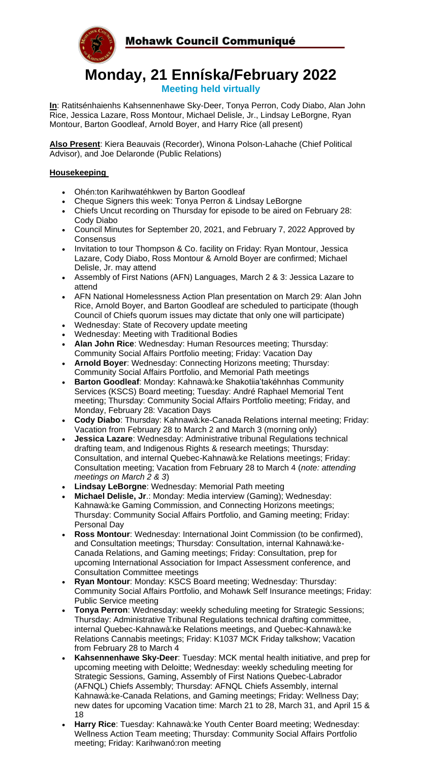

# **Monday, 21 Enníska/February 2022 Meeting held virtually**

**In**: Ratitsénhaienhs Kahsennenhawe Sky-Deer, Tonya Perron, Cody Diabo, Alan John Rice, Jessica Lazare, Ross Montour, Michael Delisle, Jr., Lindsay LeBorgne, Ryan Montour, Barton Goodleaf, Arnold Boyer, and Harry Rice (all present)

**Also Present**: Kiera Beauvais (Recorder), Winona Polson-Lahache (Chief Political Advisor), and Joe Delaronde (Public Relations)

## **Housekeeping**

- Ohén:ton Karihwatéhkwen by Barton Goodleaf
- Cheque Signers this week: Tonya Perron & Lindsay LeBorgne
- Chiefs Uncut recording on Thursday for episode to be aired on February 28: Cody Diabo
- Council Minutes for September 20, 2021, and February 7, 2022 Approved by **Consensus**
- Invitation to tour Thompson & Co. facility on Friday: Ryan Montour, Jessica Lazare, Cody Diabo, Ross Montour & Arnold Boyer are confirmed; Michael Delisle, Jr. may attend
- Assembly of First Nations (AFN) Languages, March 2 & 3: Jessica Lazare to attend
- AFN National Homelessness Action Plan presentation on March 29: Alan John Rice, Arnold Boyer, and Barton Goodleaf are scheduled to participate (though Council of Chiefs quorum issues may dictate that only one will participate)
- Wednesday: State of Recovery update meeting
- Wednesday: Meeting with Traditional Bodies
- **Alan John Rice**: Wednesday: Human Resources meeting; Thursday: Community Social Affairs Portfolio meeting; Friday: Vacation Day
- **Arnold Boyer**: Wednesday: Connecting Horizons meeting; Thursday: Community Social Affairs Portfolio, and Memorial Path meetings
- **Barton Goodleaf**: Monday: Kahnawà:ke Shakotiia'takéhnhas Community Services (KSCS) Board meeting; Tuesday: André Raphael Memorial Tent meeting; Thursday: Community Social Affairs Portfolio meeting; Friday, and Monday, February 28: Vacation Days
- **Cody Diabo**: Thursday: Kahnawà:ke-Canada Relations internal meeting; Friday: Vacation from February 28 to March 2 and March 3 (morning only)
- **Jessica Lazare**: Wednesday: Administrative tribunal Regulations technical drafting team, and Indigenous Rights & research meetings; Thursday: Consultation, and internal Quebec-Kahnawà:ke Relations meetings; Friday: Consultation meeting; Vacation from February 28 to March 4 (*note: attending meetings on March 2 & 3*)
- **Lindsay LeBorgne**: Wednesday: Memorial Path meeting
- **Michael Delisle, Jr**.: Monday: Media interview (Gaming); Wednesday: Kahnawà:ke Gaming Commission, and Connecting Horizons meetings; Thursday: Community Social Affairs Portfolio, and Gaming meeting; Friday: Personal Day
- **Ross Montour**: Wednesday: International Joint Commission (to be confirmed), and Consultation meetings; Thursday: Consultation, internal Kahnawà:ke-Canada Relations, and Gaming meetings; Friday: Consultation, prep for upcoming International Association for Impact Assessment conference, and Consultation Committee meetings
- **Ryan Montour**: Monday: KSCS Board meeting; Wednesday: Thursday: Community Social Affairs Portfolio, and Mohawk Self Insurance meetings; Friday: Public Service meeting
- **Tonya Perron**: Wednesday: weekly scheduling meeting for Strategic Sessions; Thursday: Administrative Tribunal Regulations technical drafting committee, internal Quebec-Kahnawà:ke Relations meetings, and Quebec-Kahnawà:ke Relations Cannabis meetings; Friday: K1037 MCK Friday talkshow; Vacation from February 28 to March 4
- **Kahsennenhawe Sky-Deer**: Tuesday: MCK mental health initiative, and prep for upcoming meeting with Deloitte; Wednesday: weekly scheduling meeting for Strategic Sessions, Gaming, Assembly of First Nations Quebec-Labrador (AFNQL) Chiefs Assembly; Thursday: AFNQL Chiefs Assembly, internal Kahnawà:ke-Canada Relations, and Gaming meetings; Friday: Wellness Day; new dates for upcoming Vacation time: March 21 to 28, March 31, and April 15 & 18
- **Harry Rice**: Tuesday: Kahnawà:ke Youth Center Board meeting; Wednesday: Wellness Action Team meeting; Thursday: Community Social Affairs Portfolio meeting; Friday: Karihwanó:ron meeting